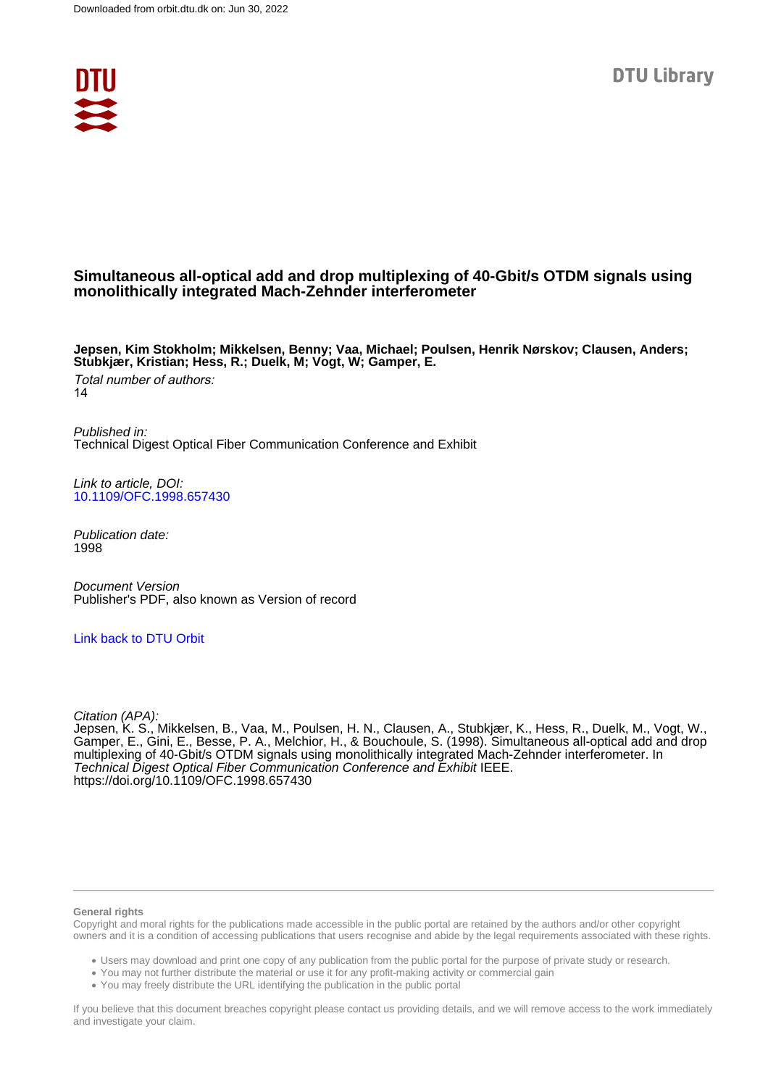

# **Simultaneous all-optical add and drop multiplexing of 40-Gbit/s OTDM signals using monolithically integrated Mach-Zehnder interferometer**

**Jepsen, Kim Stokholm; Mikkelsen, Benny; Vaa, Michael; Poulsen, Henrik Nørskov; Clausen, Anders; Stubkjær, Kristian; Hess, R.; Duelk, M; Vogt, W; Gamper, E.**

Total number of authors: 14

Published in: Technical Digest Optical Fiber Communication Conference and Exhibit

Link to article, DOI: [10.1109/OFC.1998.657430](https://doi.org/10.1109/OFC.1998.657430)

Publication date: 1998

Document Version Publisher's PDF, also known as Version of record

## [Link back to DTU Orbit](https://orbit.dtu.dk/en/publications/8520cf01-474c-48d3-9508-33070d48a9ec)

Citation (APA):

Jepsen, K. S., Mikkelsen, B., Vaa, M., Poulsen, H. N., Clausen, A., Stubkjær, K., Hess, R., Duelk, M., Vogt, W., Gamper, E., Gini, E., Besse, P. A., Melchior, H., & Bouchoule, S. (1998). Simultaneous all-optical add and drop multiplexing of 40-Gbit/s OTDM signals using monolithically integrated Mach-Zehnder interferometer. In Technical Digest Optical Fiber Communication Conference and Exhibit IEEE. <https://doi.org/10.1109/OFC.1998.657430>

#### **General rights**

Copyright and moral rights for the publications made accessible in the public portal are retained by the authors and/or other copyright owners and it is a condition of accessing publications that users recognise and abide by the legal requirements associated with these rights.

Users may download and print one copy of any publication from the public portal for the purpose of private study or research.

- You may not further distribute the material or use it for any profit-making activity or commercial gain
- You may freely distribute the URL identifying the publication in the public portal

If you believe that this document breaches copyright please contact us providing details, and we will remove access to the work immediately and investigate your claim.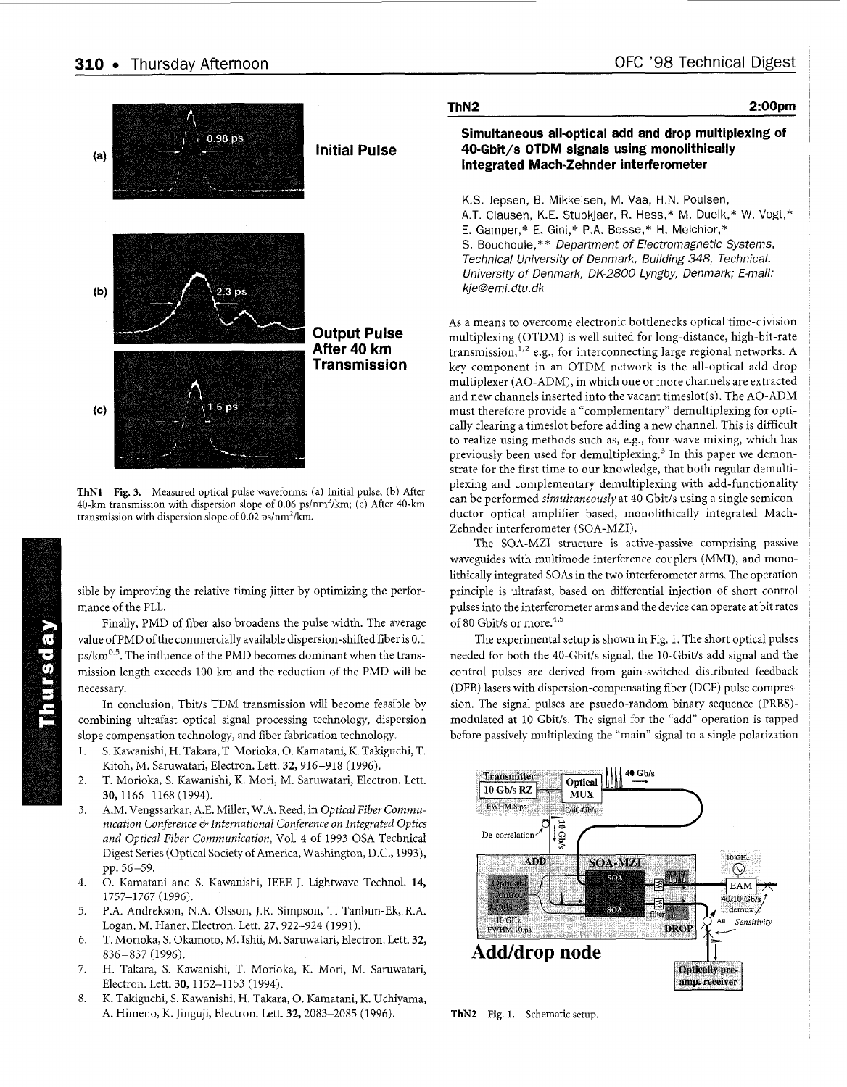<span id="page-1-0"></span>

**ThN1** Fig. 3. Measured optical pulse waveforms: (a) Initial pulse; (b) After 40-km transmission with dispersion slope of 0.06 ps/nm<sup>2</sup>/km; (c) After 40-km transmission with dispersion slope of 0.02 ps/nm\*/km.

sible by improving the relative timing jitter by optimizing the performance of the PLL.

Finally, PMD of fiber also broadens the pulse width. The average value of PMD of the commercially available dispersion-shifted fiber is 0.1  $p_s$ / $km<sup>0.5</sup>$ . The influence of the PMD becomes dominant when the transmission length exceeds 100 km and the reduction of the PMD will be necessary.

In conclusion, Tbit/s TDM transmission will become feasible by combining ultrafast optical signal processing technology, dispersion slope compensation technology, and fiber fabrication technology.

- 1. S. Kawanishi, H. Takara, T. Morioka, 0. Kamatani, K. Takiguchi, T. Kitoh, M. Saruwatari, Electron. Lett. 32, 916-918 (1996).
- $\overline{2}$ . T. Morioka, S. Kawanishi, K. Mori, M. Saruwatari, Electron. Lett. 30,1166-1168 (1994).
- 3. A.M. Vengssarkar, A.E. Miller, W.A. Reed, in *Optical Fiber Communication Conference* & *International Conference on Integrated Optics and Optical Fiber Communication,* Vol. 4 of 1993 OSA Technical Digest Series (Optical Society of America, Washington, D.C., 1993), pp. 56-59.
- 4. 0. Kamatani and S. Kawanishi, IEEE J. Lightwave Technol. **14,**  1757-1767 (1996).
- 5. P.A. Andrekson, N.A. Olsson, J.R. Simpson, T. Tanbun-Ek, R.A. Logan, M. Haner, Electron. Lett. 27, 922-924 (1991).
- 6. T. Morioka, S. Okamoto, M. Ishii, M. Saruwatari, Electron. Lett. 32, 836-837 (1996).
- 7. H. Takara, S. Kawanishi, T. Morioka, K. Mori, M. Saruwatari, Electron. Lett. **30,** 1152-1 153 (1994).
- 8. K. Takiguchi, S. Kawanishi, H. Takara, 0. Kamatani, K. Uchiyama, A. Himeno, K. Jinguji, Electron. Lett. 32,2083-2085 (1996).

| ThN <sub>2</sub> | 2:00pm |
|------------------|--------|
|                  |        |

### **Simultaneous all-optical add and drop multiplexing of 4O-Gbit/s OTDM signals using monolithically integrated Mach-Zehnder interferometer**

K.S. Jepsen, B. Mikkelsen, M. Vaa, H.N. Poulsen, A.T. Clausen, K.E. Stubkjaer, R. Hess,\* M. Duelk,\* W. Vogt,\* E. Gamper,\* E. Gini,\* P.A. Besse,\* **H.** Melchior,\* S. Bouchoule,\*\* *Department of Electromagnetic Systems, Technical University of Denmark, Building 348, Technical. University of Denmark, OK-2800 Lyngby, Denmark; E-mail: kje@emi.dtu. dk* 

As a means to overcome electronic bottlenecks optical time-division multiplexing (OTDM) is well suited for long-distance, high-bit-rate transmission,<sup>1,2</sup> e.g., for interconnecting large regional networks. A key component in an OTDM network is the all-optical add-drop multiplexer (AO-ADM), in which one or more channels are extracted and new channels inserted into the vacant timeslot(s). The AO-ADM must therefore provide a "complementary" demultiplexing for optically clearing a timeslot before adding a new channel. This is difficult to realize using methods such as, e.g., four-wave mixing, which has previously been used for demultiplexing.<sup>3</sup> In this paper we demonstrate for the first time to our knowledge, that both regular demultiplexing and complementary demultiplexing with add-functionality can be performed *simultaneously* at 40 Gbit/s using a single semiconductor optical amplifier based, monolithically integrated Mach-Zehnder interferometer (SOA-MZI).

The SOA-MZI structure is active-passive comprising passive waveguides with multimode interference couplers (MMI), and monolithically integrated SOAs in the two interferometer arms. The operation principle is ultrafast, based on differential injection of short control pulses into the interferometer arms and the device can operate at bit rates of 80 Gbit/s or more.<sup>4,5</sup>

The experimental setup is shown in Fig. 1. The short optical pulses needed for both the 40-Gbit/s signal, the 10-Gbit/s add signal and the control pulses are derived from gain-switched distributed feedback (DFB) lasers with dispersion-compensating fiber (DCF) pulse compression. The signal pulses are psuedo-random binary sequence (PRES) modulated at 10 Gbit/s. The signal for the "add" operation is tapped before passively multiplexing the "main" signal to a single polarization



**ThN2 Fig.** 1. Schematic setup.